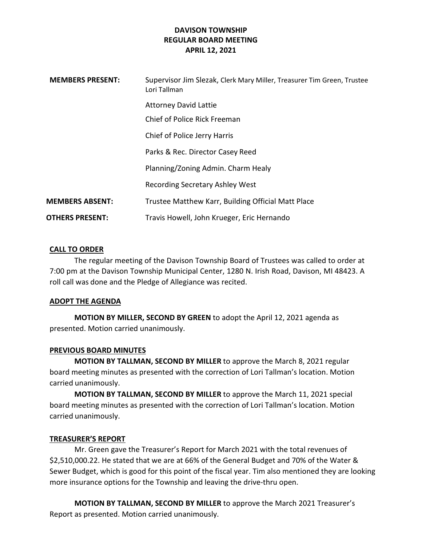| <b>MEMBERS PRESENT:</b> | Supervisor Jim Slezak, Clerk Mary Miller, Treasurer Tim Green, Trustee<br>Lori Tallman |
|-------------------------|----------------------------------------------------------------------------------------|
|                         | <b>Attorney David Lattie</b>                                                           |
|                         | Chief of Police Rick Freeman                                                           |
|                         | Chief of Police Jerry Harris                                                           |
|                         | Parks & Rec. Director Casey Reed                                                       |
|                         | Planning/Zoning Admin. Charm Healy                                                     |
|                         | <b>Recording Secretary Ashley West</b>                                                 |
| <b>MEMBERS ABSENT:</b>  | Trustee Matthew Karr, Building Official Matt Place                                     |
| <b>OTHERS PRESENT:</b>  | Travis Howell, John Krueger, Eric Hernando                                             |

# CALL TO ORDER

The regular meeting of the Davison Township Board of Trustees was called to order at 7:00 pm at the Davison Township Municipal Center, 1280 N. Irish Road, Davison, MI 48423. A roll call was done and the Pledge of Allegiance was recited.

# ADOPT THE AGENDA

MOTION BY MILLER, SECOND BY GREEN to adopt the April 12, 2021 agenda as presented. Motion carried unanimously.

# PREVIOUS BOARD MINUTES

MOTION BY TALLMAN, SECOND BY MILLER to approve the March 8, 2021 regular board meeting minutes as presented with the correction of Lori Tallman's location. Motion carried unanimously.

MOTION BY TALLMAN, SECOND BY MILLER to approve the March 11, 2021 special board meeting minutes as presented with the correction of Lori Tallman's location. Motion carried unanimously.

# TREASURER'S REPORT

Mr. Green gave the Treasurer's Report for March 2021 with the total revenues of \$2,510,000.22. He stated that we are at 66% of the General Budget and 70% of the Water & Sewer Budget, which is good for this point of the fiscal year. Tim also mentioned they are looking more insurance options for the Township and leaving the drive-thru open.

MOTION BY TALLMAN, SECOND BY MILLER to approve the March 2021 Treasurer's Report as presented. Motion carried unanimously.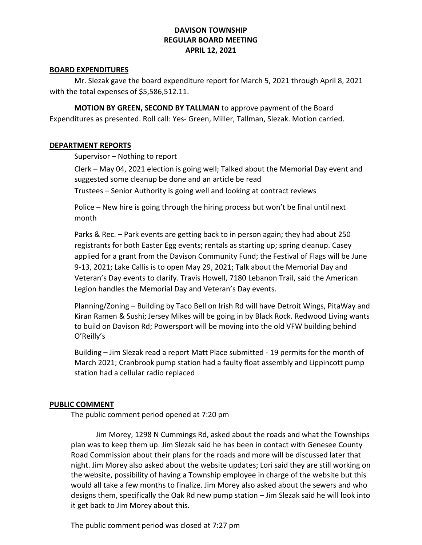# BOARD EXPENDITURES

Mr. Slezak gave the board expenditure report for March 5, 2021 through April 8, 2021 with the total expenses of \$5,586,512.11.

MOTION BY GREEN, SECOND BY TALLMAN to approve payment of the Board Expenditures as presented. Roll call: Yes- Green, Miller, Tallman, Slezak. Motion carried.

#### DEPARTMENT REPORTS

Supervisor – Nothing to report

Clerk – May 04, 2021 election is going well; Talked about the Memorial Day event and suggested some cleanup be done and an article be read

Trustees – Senior Authority is going well and looking at contract reviews

Police – New hire is going through the hiring process but won't be final until next month

Parks & Rec. – Park events are getting back to in person again; they had about 250 registrants for both Easter Egg events; rentals as starting up; spring cleanup. Casey applied for a grant from the Davison Community Fund; the Festival of Flags will be June 9-13, 2021; Lake Callis is to open May 29, 2021; Talk about the Memorial Day and Veteran's Day events to clarify. Travis Howell, 7180 Lebanon Trail, said the American Legion handles the Memorial Day and Veteran's Day events.

Planning/Zoning – Building by Taco Bell on Irish Rd will have Detroit Wings, PitaWay and Kiran Ramen & Sushi; Jersey Mikes will be going in by Black Rock. Redwood Living wants to build on Davison Rd; Powersport will be moving into the old VFW building behind O'Reilly's

Building – Jim Slezak read a report Matt Place submitted - 19 permits for the month of March 2021; Cranbrook pump station had a faulty float assembly and Lippincott pump station had a cellular radio replaced

# PUBLIC COMMENT

The public comment period opened at 7:20 pm

 Jim Morey, 1298 N Cummings Rd, asked about the roads and what the Townships plan was to keep them up. Jim Slezak said he has been in contact with Genesee County Road Commission about their plans for the roads and more will be discussed later that night. Jim Morey also asked about the website updates; Lori said they are still working on the website, possibility of having a Township employee in charge of the website but this would all take a few months to finalize. Jim Morey also asked about the sewers and who designs them, specifically the Oak Rd new pump station – Jim Slezak said he will look into it get back to Jim Morey about this.

The public comment period was closed at 7:27 pm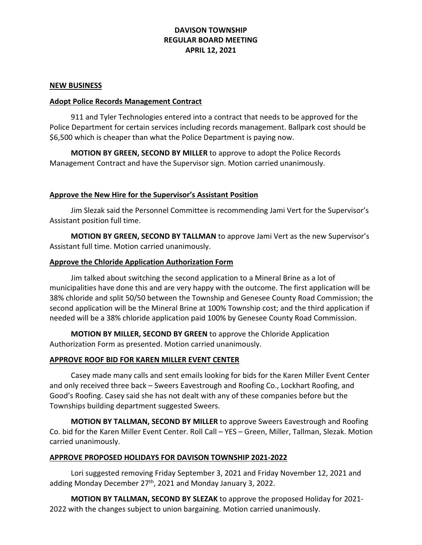#### NEW BUSINESS

# Adopt Police Records Management Contract

911 and Tyler Technologies entered into a contract that needs to be approved for the Police Department for certain services including records management. Ballpark cost should be \$6,500 which is cheaper than what the Police Department is paying now.

MOTION BY GREEN, SECOND BY MILLER to approve to adopt the Police Records Management Contract and have the Supervisor sign. Motion carried unanimously.

# Approve the New Hire for the Supervisor's Assistant Position

 Jim Slezak said the Personnel Committee is recommending Jami Vert for the Supervisor's Assistant position full time.

MOTION BY GREEN, SECOND BY TALLMAN to approve Jami Vert as the new Supervisor's Assistant full time. Motion carried unanimously.

#### Approve the Chloride Application Authorization Form

 Jim talked about switching the second application to a Mineral Brine as a lot of municipalities have done this and are very happy with the outcome. The first application will be 38% chloride and split 50/50 between the Township and Genesee County Road Commission; the second application will be the Mineral Brine at 100% Township cost; and the third application if needed will be a 38% chloride application paid 100% by Genesee County Road Commission.

MOTION BY MILLER, SECOND BY GREEN to approve the Chloride Application Authorization Form as presented. Motion carried unanimously.

# APPROVE ROOF BID FOR KAREN MILLER EVENT CENTER

 Casey made many calls and sent emails looking for bids for the Karen Miller Event Center and only received three back – Sweers Eavestrough and Roofing Co., Lockhart Roofing, and Good's Roofing. Casey said she has not dealt with any of these companies before but the Townships building department suggested Sweers.

 MOTION BY TALLMAN, SECOND BY MILLER to approve Sweers Eavestrough and Roofing Co. bid for the Karen Miller Event Center. Roll Call – YES – Green, Miller, Tallman, Slezak. Motion carried unanimously.

# APPROVE PROPOSED HOLIDAYS FOR DAVISON TOWNSHIP 2021-2022

 Lori suggested removing Friday September 3, 2021 and Friday November 12, 2021 and adding Monday December 27<sup>th</sup>, 2021 and Monday January 3, 2022.

MOTION BY TALLMAN, SECOND BY SLEZAK to approve the proposed Holiday for 2021- 2022 with the changes subject to union bargaining. Motion carried unanimously.